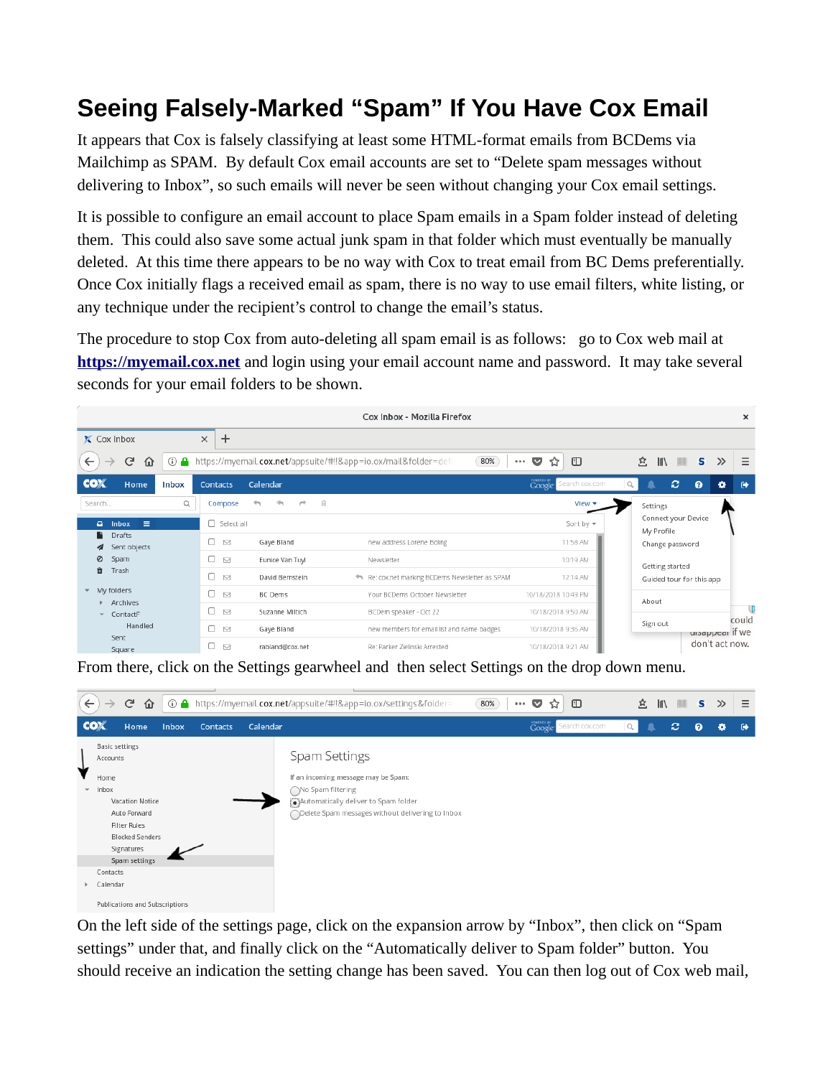## **Seeing Falsely-Marked "Spam" If You Have Cox Email**

It appears that Cox is falsely classifying at least some HTML-format emails from BCDems via Mailchimp as SPAM. By default Cox email accounts are set to "Delete spam messages without delivering to Inbox", so such emails will never be seen without changing your Cox email settings.

It is possible to configure an email account to place Spam emails in a Spam folder instead of deleting them. This could also save some actual junk spam in that folder which must eventually be manually deleted. At this time there appears to be no way with Cox to treat email from BC Dems preferentially. Once Cox initially flags a received email as spam, there is no way to use email filters, white listing, or any technique under the recipient's control to change the email's status.

The procedure to stop Cox from auto-deleting all spam email is as follows: go to Cox web mail at **[https://myemail.cox.net](https://myemail.cox.net/)** and login using your email account name and password. It may take several seconds for your email folders to be shown.

| Cox Inbox - Mozilla Firefox<br>$\times$                                                                                                                                                 |              |                        |                                                |                                                                          |                                |                                                         |
|-----------------------------------------------------------------------------------------------------------------------------------------------------------------------------------------|--------------|------------------------|------------------------------------------------|--------------------------------------------------------------------------|--------------------------------|---------------------------------------------------------|
| X Cox Inbox                                                                                                                                                                             |              | $\pm$<br>$\times$      |                                                |                                                                          |                                |                                                         |
| $\leftarrow$<br>G<br>⋒<br>$\rightarrow$                                                                                                                                                 | $\odot$      |                        |                                                | A https://myemail.cox.net/appsuite/#!!&app=io.ox/mail&folder=defa<br>80% | $\Box$<br>$\sim$<br>☆<br>0.0.0 | $\equiv$<br>立<br>$\parallel$<br>$\mathbb{I}$ s<br>$\gg$ |
| <b>COX</b><br>Home                                                                                                                                                                      | <b>Inbox</b> | <b>Contacts</b>        | Calendar                                       |                                                                          | POMERED BY<br>Search cox.com   | e<br>$\bullet$<br>$\bullet$<br>۰                        |
| Search                                                                                                                                                                                  | $\alpha$     | Compose                | $\overline{\phantom{m}}$<br>嘶<br>$\rightarrow$ | 亩                                                                        | View $\star$                   | Settings                                                |
| $\equiv$<br>$\blacksquare$<br><b>Inbox</b><br>Drafts<br>Sent objects<br>Ø<br>Spam<br>Ĥ<br>Trash<br>My folders<br>$\mathbf{v}$<br>Archives<br>ContactF<br>÷<br>Handled<br>Sent<br>Square |              | $\Box$ Select all      | Sort by $\blacktriangledown$<br>My Profile     |                                                                          |                                | Connect your Device                                     |
|                                                                                                                                                                                         |              | 0<br>◘                 | Gaye Bland                                     | new address Lorene Boling                                                | 11:58 AM                       | Change password<br>Getting started                      |
|                                                                                                                                                                                         |              | 0<br>$\triangleright$  | Eunice Van Tuyl                                | Newsletter                                                               | 10:19 AM                       |                                                         |
|                                                                                                                                                                                         |              | 0.<br>$\triangleright$ | David Bernstein                                | Re: cox.net marking BCDems Newsletter as SPAM                            | 12:14 AM                       | Guided tour for this app                                |
|                                                                                                                                                                                         |              | □.<br>$\triangledown$  | <b>BC</b> Dems                                 | Your BCDems October Newsletter                                           | 10/18/2018 10:49 PM            | About                                                   |
|                                                                                                                                                                                         |              | 0.<br>$\smile$         | Suzanne Miltich                                | BCDem speaker - Oct 22                                                   | 10/18/2018 9:50 AM             |                                                         |
|                                                                                                                                                                                         |              | n<br>$\smile$          | Gaye Bland                                     | new members for email list and name badges                               | 10/18/2018 9:36 AM             | could<br>Sign out<br>uisappear if we                    |
|                                                                                                                                                                                         |              | 0<br>$\smile$          | rabland@cox.net                                | Re: Parker Zielinski Arrested                                            | 10/18/2018 9:21 AM             | don't act now.                                          |

From there, click on the Settings gearwheel and then select Settings on the drop down menu.



On the left side of the settings page, click on the expansion arrow by "Inbox", then click on "Spam settings" under that, and finally click on the "Automatically deliver to Spam folder" button. You should receive an indication the setting change has been saved. You can then log out of Cox web mail,